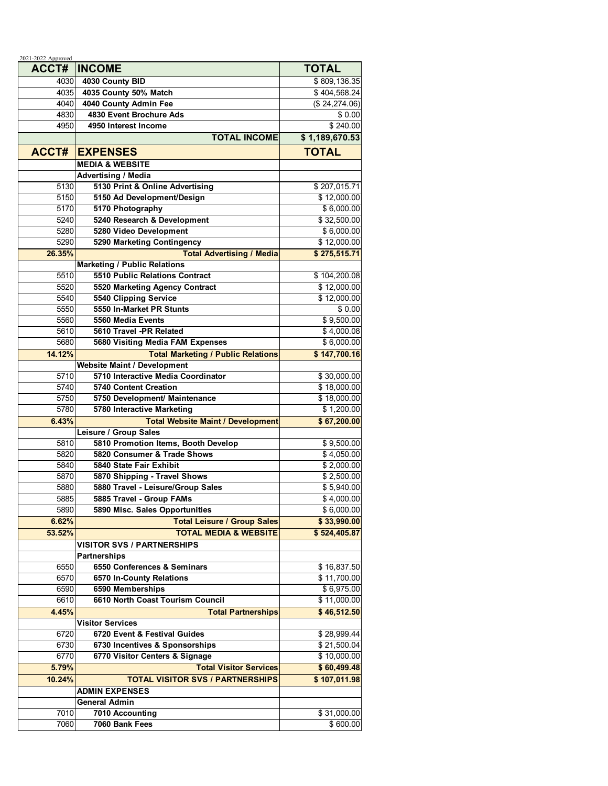| 2021-2022 Approved | <b>ACCT# INCOME</b>                                     | <b>TOTAL</b>              |
|--------------------|---------------------------------------------------------|---------------------------|
| 4030               | 4030 County BID                                         | \$809,136.35              |
| 4035               | 4035 County 50% Match                                   | \$404,568.24              |
| 4040               | 4040 County Admin Fee                                   | (\$24,274.06)             |
| 4830               | 4830 Event Brochure Ads                                 | \$0.00                    |
| 4950               | 4950 Interest Income                                    | \$240.00                  |
|                    | <b>TOTAL INCOME</b>                                     | \$1,189,670.53            |
|                    | <b>ACCT# EXPENSES</b>                                   | <b>TOTAL</b>              |
|                    |                                                         |                           |
|                    | <b>MEDIA &amp; WEBSITE</b>                              |                           |
| 5130               | <b>Advertising / Media</b>                              |                           |
|                    | 5130 Print & Online Advertising                         | \$207,015.71              |
| 5150               | 5150 Ad Development/Design                              | \$12,000.00               |
| 5170<br>5240       | 5170 Photography<br>5240 Research & Development         | \$6,000.00<br>\$32,500.00 |
| 5280               | 5280 Video Development                                  | \$6,000.00                |
| 5290               | 5290 Marketing Contingency                              | $\overline{$}12,000.00$   |
| 26.35%             | <b>Total Advertising / Media</b>                        | \$275,515.71              |
|                    | <b>Marketing / Public Relations</b>                     |                           |
| 5510               | 5510 Public Relations Contract                          | \$104,200.08              |
| 5520               |                                                         | \$12,000.00               |
| 5540               | 5520 Marketing Agency Contract<br>5540 Clipping Service | \$12,000.00               |
| 5550               | 5550 In-Market PR Stunts                                | \$0.00                    |
| 5560               | 5560 Media Events                                       | \$9,500.00                |
| 5610               | 5610 Travel -PR Related                                 | \$4,000.08                |
| 5680               | <b>5680 Visiting Media FAM Expenses</b>                 | \$6,000.00                |
| 14.12%             | <b>Total Marketing / Public Relations</b>               | \$147,700.16              |
|                    | <b>Website Maint / Development</b>                      |                           |
| 5710               | 5710 Interactive Media Coordinator                      | \$30,000.00               |
| 5740               | <b>5740 Content Creation</b>                            | \$18,000.00               |
| 5750               | 5750 Development/ Maintenance                           | \$18,000.00               |
| 5780               | 5780 Interactive Marketing                              | \$1,200.00                |
| 6.43%              | <b>Total Website Maint / Development</b>                | \$67,200.00               |
|                    | Leisure / Group Sales                                   |                           |
| 5810               | 5810 Promotion Items, Booth Develop                     | \$9,500.00                |
| 5820               | 5820 Consumer & Trade Shows                             | \$4,050.00                |
| 5840               | 5840 State Fair Exhibit                                 | \$2,000.00                |
| 5870               | 5870 Shipping - Travel Shows                            | \$2,500.00                |
| 5880               | 5880 Travel - Leisure/Group Sales                       | $\overline{$}5,940.00$    |
| 5885               | 5885 Travel - Group FAMs                                | \$4,000.00                |
| 5890               | 5890 Misc. Sales Opportunities                          | \$6,000.00                |
| 6.62%              | <b>Total Leisure / Group Sales</b>                      | \$33,990.00               |
| 53.52%             | <b>TOTAL MEDIA &amp; WEBSITE</b>                        | \$524,405.87              |
|                    | <b>VISITOR SVS / PARTNERSHIPS</b>                       |                           |
|                    | <b>Partnerships</b>                                     |                           |
| 6550               | 6550 Conferences & Seminars                             | \$16,837.50               |
| 6570               | 6570 In-County Relations                                | \$11,700.00               |
| 6590               | 6590 Memberships                                        | \$6,975.00                |
| 6610               | 6610 North Coast Tourism Council                        | \$11,000.00               |
| 4.45%              | <b>Total Partnerships</b>                               | \$46,512.50               |
|                    | <b>Visitor Services</b>                                 |                           |
| 6720               | 6720 Event & Festival Guides                            | \$28,999.44               |
| 6730               | 6730 Incentives & Sponsorships                          | \$21,500.04               |
| 6770               | 6770 Visitor Centers & Signage                          | \$10,000.00               |
| 5.79%              | <b>Total Visitor Services</b>                           | \$60,499.48               |
| 10.24%             | <b>TOTAL VISITOR SVS / PARTNERSHIPS</b>                 | \$107,011.98              |
|                    | <b>ADMIN EXPENSES</b>                                   |                           |
|                    | General Admin                                           |                           |
| 7010               | 7010 Accounting                                         | \$31,000.00               |
| 7060               | 7060 Bank Fees                                          | \$600.00                  |